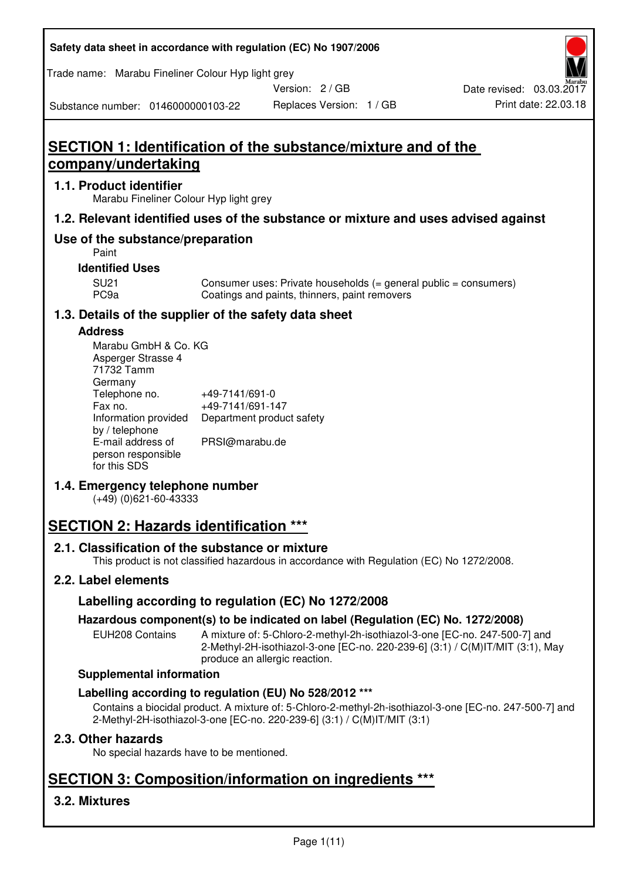**Safety data sheet in accordance with regulation (EC) No 1907/2006** 

Trade name: Marabu Fineliner Colour Hyp light grey

Version: 2 / GB

Substance number: 0146000000103-22

# **SECTION 1: Identification of the substance/mixture and of the company/undertaking**

## **1.1. Product identifier**

Marabu Fineliner Colour Hyp light grey

## **1.2. Relevant identified uses of the substance or mixture and uses advised against**

## **Use of the substance/preparation**

Paint

## **Identified Uses**

SU21 Consumer uses: Private households (= general public = consumers)<br>PC9a Coatings and paints, thinners, paint removers Coatings and paints, thinners, paint removers

## **1.3. Details of the supplier of the safety data sheet**

#### **Address**

| Marabu GmbH & Co. KG |                           |
|----------------------|---------------------------|
| Asperger Strasse 4   |                           |
| 71732 Tamm           |                           |
| Germany              |                           |
| Telephone no.        | +49-7141/691-0            |
| Fax no.              | +49-7141/691-147          |
| Information provided | Department product safety |
| by / telephone       |                           |
| E-mail address of    | PRSI@marabu.de            |
| person responsible   |                           |
| for this SDS         |                           |

## **1.4. Emergency telephone number**

(+49) (0)621-60-43333

# **SECTION 2: Hazards identification \*\*\***

## **2.1. Classification of the substance or mixture**

This product is not classified hazardous in accordance with Regulation (EC) No 1272/2008.

## **2.2. Label elements**

## **Labelling according to regulation (EC) No 1272/2008**

## **Hazardous component(s) to be indicated on label (Regulation (EC) No. 1272/2008)**

EUH208 Contains A mixture of: 5-Chloro-2-methyl-2h-isothiazol-3-one [EC-no. 247-500-7] and 2-Methyl-2H-isothiazol-3-one [EC-no. 220-239-6] (3:1) / C(M)IT/MIT (3:1), May produce an allergic reaction.

#### **Supplemental information**

## **Labelling according to regulation (EU) No 528/2012 \*\*\***

Contains a biocidal product. A mixture of: 5-Chloro-2-methyl-2h-isothiazol-3-one [EC-no. 247-500-7] and 2-Methyl-2H-isothiazol-3-one [EC-no. 220-239-6] (3:1) / C(M)IT/MIT (3:1)

## **2.3. Other hazards**

No special hazards have to be mentioned.

# **SECTION 3: Composition/information on ingredients \*\*\***

## **3.2. Mixtures**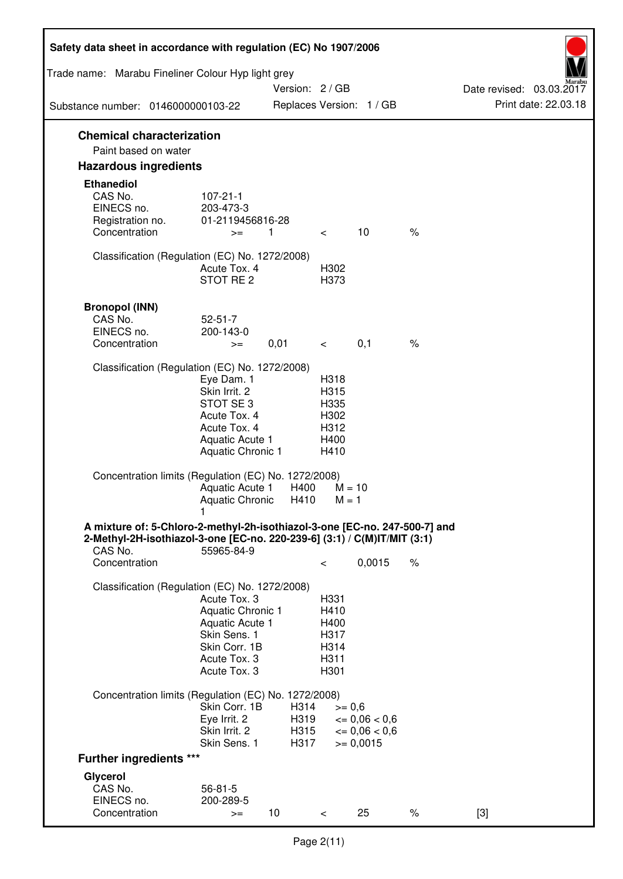| Safety data sheet in accordance with regulation (EC) No 1907/2006                                                                                                 |                                                                                                                       |                      |                                                      |                                              |      |                          |
|-------------------------------------------------------------------------------------------------------------------------------------------------------------------|-----------------------------------------------------------------------------------------------------------------------|----------------------|------------------------------------------------------|----------------------------------------------|------|--------------------------|
| Trade name: Marabu Fineliner Colour Hyp light grey                                                                                                                |                                                                                                                       | Version: 2 / GB      |                                                      |                                              |      | Date revised: 03.03.2017 |
| Substance number: 0146000000103-22                                                                                                                                |                                                                                                                       |                      |                                                      | Replaces Version: 1 / GB                     |      | Print date: 22.03.18     |
| <b>Chemical characterization</b><br>Paint based on water                                                                                                          |                                                                                                                       |                      |                                                      |                                              |      |                          |
| <b>Hazardous ingredients</b>                                                                                                                                      |                                                                                                                       |                      |                                                      |                                              |      |                          |
| <b>Ethanediol</b><br>CAS No.<br>EINECS no.<br>Registration no.<br>Concentration                                                                                   | $107 - 21 - 1$<br>203-473-3<br>01-2119456816-28<br>$>=$                                                               | $\overline{1}$       | $\lt$                                                | 10                                           | $\%$ |                          |
| Classification (Regulation (EC) No. 1272/2008)                                                                                                                    | Acute Tox, 4<br>STOT RE <sub>2</sub>                                                                                  |                      | H302<br>H373                                         |                                              |      |                          |
| <b>Bronopol (INN)</b><br>CAS No.<br>EINECS no.<br>Concentration                                                                                                   | $52 - 51 - 7$<br>200-143-0<br>$>=$                                                                                    | 0,01                 | $\overline{\phantom{0}}$                             | 0,1                                          | $\%$ |                          |
| Classification (Regulation (EC) No. 1272/2008)                                                                                                                    | Eye Dam. 1<br>Skin Irrit. 2<br>STOT SE3<br>Acute Tox. 4<br>Acute Tox. 4<br>Aquatic Acute 1<br>Aquatic Chronic 1       |                      | H318<br>H315<br>H335<br>H302<br>H312<br>H400<br>H410 |                                              |      |                          |
| Concentration limits (Regulation (EC) No. 1272/2008)                                                                                                              | Aquatic Acute 1<br>Aquatic Chronic                                                                                    | H400<br>H410         | $M = 10$<br>$M = 1$                                  |                                              |      |                          |
| A mixture of: 5-Chloro-2-methyl-2h-isothiazol-3-one [EC-no. 247-500-7] and<br>2-Methyl-2H-isothiazol-3-one [EC-no. 220-239-6] (3:1) / C(M)IT/MIT (3:1)<br>CAS No. | 55965-84-9                                                                                                            |                      |                                                      |                                              |      |                          |
| Concentration                                                                                                                                                     |                                                                                                                       |                      | $\,<\,$                                              | 0,0015                                       | $\%$ |                          |
| Classification (Regulation (EC) No. 1272/2008)                                                                                                                    | Acute Tox. 3<br>Aquatic Chronic 1<br>Aquatic Acute 1<br>Skin Sens. 1<br>Skin Corr. 1B<br>Acute Tox. 3<br>Acute Tox. 3 |                      | H331<br>H410<br>H400<br>H317<br>H314<br>H311<br>H301 |                                              |      |                          |
| Concentration limits (Regulation (EC) No. 1272/2008)                                                                                                              | Skin Corr. 1B<br>Eye Irrit. 2<br>Skin Irrit. 2                                                                        | H314<br>H319<br>H315 | $>= 0,6$                                             | $\epsilon = 0.06 < 0.6$<br>$\leq 0.06 < 0.6$ |      |                          |
| <b>Further ingredients ***</b>                                                                                                                                    | Skin Sens. 1                                                                                                          | H317                 |                                                      | $>= 0,0015$                                  |      |                          |
| Glycerol                                                                                                                                                          |                                                                                                                       |                      |                                                      |                                              |      |                          |
| CAS No.<br>EINECS no.<br>Concentration                                                                                                                            | $56 - 81 - 5$<br>200-289-5<br>$>=$                                                                                    | 10                   | $\lt$                                                | 25                                           | $\%$ | $[3]$                    |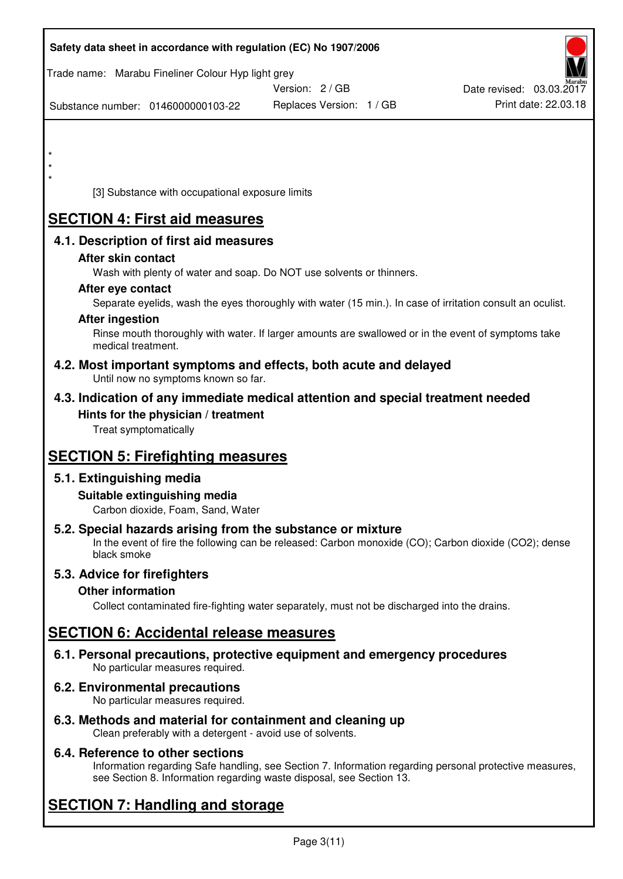|         | Safety data sheet in accordance with regulation (EC) No 1907/2006                                            |                                                                                                            |                          |
|---------|--------------------------------------------------------------------------------------------------------------|------------------------------------------------------------------------------------------------------------|--------------------------|
|         | Trade name: Marabu Fineliner Colour Hyp light grey                                                           | Version: 2 / GB                                                                                            | Date revised: 03.03.2017 |
|         | Substance number: 0146000000103-22                                                                           | Replaces Version: 1 / GB                                                                                   | Print date: 22.03.18     |
|         |                                                                                                              |                                                                                                            |                          |
| $\star$ |                                                                                                              |                                                                                                            |                          |
|         |                                                                                                              |                                                                                                            |                          |
|         | [3] Substance with occupational exposure limits                                                              |                                                                                                            |                          |
|         | <b>SECTION 4: First aid measures</b>                                                                         |                                                                                                            |                          |
|         | 4.1. Description of first aid measures                                                                       |                                                                                                            |                          |
|         | After skin contact                                                                                           |                                                                                                            |                          |
|         | Wash with plenty of water and soap. Do NOT use solvents or thinners.<br>After eye contact                    |                                                                                                            |                          |
|         |                                                                                                              | Separate eyelids, wash the eyes thoroughly with water (15 min.). In case of irritation consult an oculist. |                          |
|         | <b>After ingestion</b>                                                                                       |                                                                                                            |                          |
|         | medical treatment.                                                                                           | Rinse mouth thoroughly with water. If larger amounts are swallowed or in the event of symptoms take        |                          |
|         | 4.2. Most important symptoms and effects, both acute and delayed<br>Until now no symptoms known so far.      |                                                                                                            |                          |
|         | 4.3. Indication of any immediate medical attention and special treatment needed                              |                                                                                                            |                          |
|         | Hints for the physician / treatment                                                                          |                                                                                                            |                          |
|         | Treat symptomatically                                                                                        |                                                                                                            |                          |
|         | <b>SECTION 5: Firefighting measures</b>                                                                      |                                                                                                            |                          |
|         | 5.1. Extinguishing media                                                                                     |                                                                                                            |                          |
|         | Suitable extinguishing media<br>Carbon dioxide, Foam, Sand, Water                                            |                                                                                                            |                          |
|         | 5.2. Special hazards arising from the substance or mixture                                                   |                                                                                                            |                          |
|         | black smoke                                                                                                  | In the event of fire the following can be released: Carbon monoxide (CO); Carbon dioxide (CO2); dense      |                          |
|         | 5.3. Advice for firefighters                                                                                 |                                                                                                            |                          |
|         | <b>Other information</b>                                                                                     | Collect contaminated fire-fighting water separately, must not be discharged into the drains.               |                          |
|         | <b>SECTION 6: Accidental release measures</b>                                                                |                                                                                                            |                          |
|         |                                                                                                              |                                                                                                            |                          |
|         | 6.1. Personal precautions, protective equipment and emergency procedures<br>No particular measures required. |                                                                                                            |                          |
|         | 6.2. Environmental precautions<br>No particular measures required.                                           |                                                                                                            |                          |
|         | 6.3. Methods and material for containment and cleaning up                                                    |                                                                                                            |                          |

Clean preferably with a detergent - avoid use of solvents.

## **6.4. Reference to other sections**

Information regarding Safe handling, see Section 7. Information regarding personal protective measures, see Section 8. Information regarding waste disposal, see Section 13.

# **SECTION 7: Handling and storage**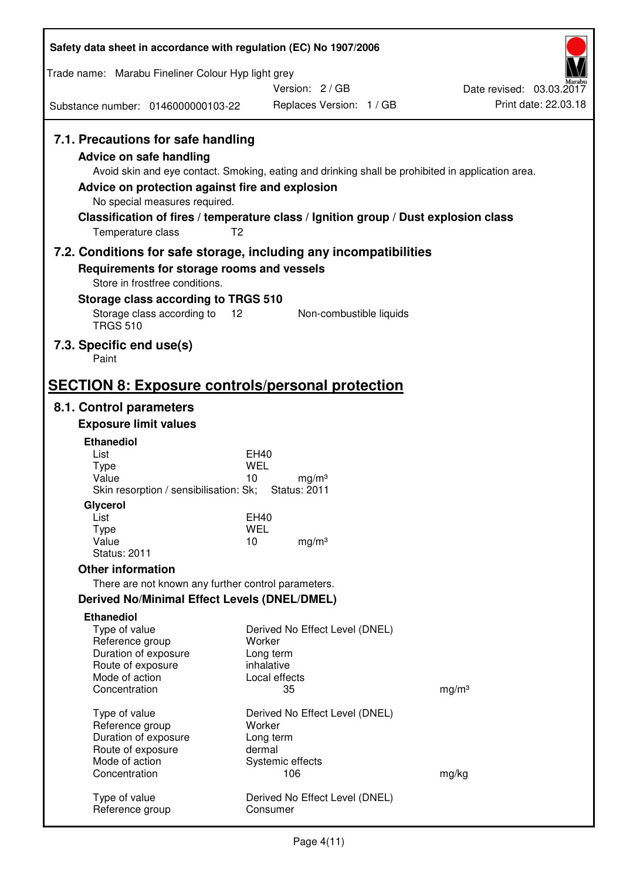| Trade name: Marabu Fineliner Colour Hyp light grey<br>Version: 2/GB<br>Date revised: 03.03.2017<br>Print date: 22.03.18<br>Replaces Version: 1 / GB<br>Substance number: 0146000000103-22<br>7.1. Precautions for safe handling<br><b>Advice on safe handling</b><br>Avoid skin and eye contact. Smoking, eating and drinking shall be prohibited in application area.<br>Advice on protection against fire and explosion<br>No special measures required.<br>Classification of fires / temperature class / Ignition group / Dust explosion class<br>T <sub>2</sub><br>Temperature class<br>7.2. Conditions for safe storage, including any incompatibilities<br>Requirements for storage rooms and vessels<br>Store in frostfree conditions.<br>Storage class according to TRGS 510<br>Storage class according to 12<br>Non-combustible liquids<br><b>TRGS 510</b><br>7.3. Specific end use(s)<br>Paint<br><b>SECTION 8: Exposure controls/personal protection</b><br>8.1. Control parameters<br><b>Exposure limit values</b><br><b>Ethanediol</b><br>List<br><b>EH40</b><br><b>WEL</b><br><b>Type</b><br>Value<br>10<br>mg/m <sup>3</sup><br>Skin resorption / sensibilisation: Sk;<br><b>Status: 2011</b><br>Glycerol<br>List<br><b>EH40</b><br><b>WEL</b><br>Type<br>Value<br>10<br>mg/m <sup>3</sup><br><b>Status: 2011</b><br><b>Other information</b><br>There are not known any further control parameters.<br>Derived No/Minimal Effect Levels (DNEL/DMEL)<br><b>Ethanediol</b><br>Type of value<br>Derived No Effect Level (DNEL)<br>Reference group<br>Worker<br>Duration of exposure<br>Long term<br>Route of exposure<br>inhalative<br>Mode of action<br>Local effects<br>35<br>Concentration<br>mg/m <sup>3</sup><br>Type of value<br>Derived No Effect Level (DNEL)<br>Worker<br>Reference group<br>Duration of exposure<br>Long term<br>Route of exposure<br>dermal<br>Mode of action<br>Systemic effects<br>Concentration<br>106<br>mg/kg<br>Type of value<br>Derived No Effect Level (DNEL)<br>Reference group<br>Consumer | Safety data sheet in accordance with regulation (EC) No 1907/2006 |  |  |  |  |
|----------------------------------------------------------------------------------------------------------------------------------------------------------------------------------------------------------------------------------------------------------------------------------------------------------------------------------------------------------------------------------------------------------------------------------------------------------------------------------------------------------------------------------------------------------------------------------------------------------------------------------------------------------------------------------------------------------------------------------------------------------------------------------------------------------------------------------------------------------------------------------------------------------------------------------------------------------------------------------------------------------------------------------------------------------------------------------------------------------------------------------------------------------------------------------------------------------------------------------------------------------------------------------------------------------------------------------------------------------------------------------------------------------------------------------------------------------------------------------------------------------------------------------------------------------------------------------------------------------------------------------------------------------------------------------------------------------------------------------------------------------------------------------------------------------------------------------------------------------------------------------------------------------------------------------------------------------------------------------------------------------------------------------------------|-------------------------------------------------------------------|--|--|--|--|
|                                                                                                                                                                                                                                                                                                                                                                                                                                                                                                                                                                                                                                                                                                                                                                                                                                                                                                                                                                                                                                                                                                                                                                                                                                                                                                                                                                                                                                                                                                                                                                                                                                                                                                                                                                                                                                                                                                                                                                                                                                              |                                                                   |  |  |  |  |
|                                                                                                                                                                                                                                                                                                                                                                                                                                                                                                                                                                                                                                                                                                                                                                                                                                                                                                                                                                                                                                                                                                                                                                                                                                                                                                                                                                                                                                                                                                                                                                                                                                                                                                                                                                                                                                                                                                                                                                                                                                              |                                                                   |  |  |  |  |
|                                                                                                                                                                                                                                                                                                                                                                                                                                                                                                                                                                                                                                                                                                                                                                                                                                                                                                                                                                                                                                                                                                                                                                                                                                                                                                                                                                                                                                                                                                                                                                                                                                                                                                                                                                                                                                                                                                                                                                                                                                              |                                                                   |  |  |  |  |
|                                                                                                                                                                                                                                                                                                                                                                                                                                                                                                                                                                                                                                                                                                                                                                                                                                                                                                                                                                                                                                                                                                                                                                                                                                                                                                                                                                                                                                                                                                                                                                                                                                                                                                                                                                                                                                                                                                                                                                                                                                              |                                                                   |  |  |  |  |
|                                                                                                                                                                                                                                                                                                                                                                                                                                                                                                                                                                                                                                                                                                                                                                                                                                                                                                                                                                                                                                                                                                                                                                                                                                                                                                                                                                                                                                                                                                                                                                                                                                                                                                                                                                                                                                                                                                                                                                                                                                              |                                                                   |  |  |  |  |
|                                                                                                                                                                                                                                                                                                                                                                                                                                                                                                                                                                                                                                                                                                                                                                                                                                                                                                                                                                                                                                                                                                                                                                                                                                                                                                                                                                                                                                                                                                                                                                                                                                                                                                                                                                                                                                                                                                                                                                                                                                              |                                                                   |  |  |  |  |
|                                                                                                                                                                                                                                                                                                                                                                                                                                                                                                                                                                                                                                                                                                                                                                                                                                                                                                                                                                                                                                                                                                                                                                                                                                                                                                                                                                                                                                                                                                                                                                                                                                                                                                                                                                                                                                                                                                                                                                                                                                              |                                                                   |  |  |  |  |
|                                                                                                                                                                                                                                                                                                                                                                                                                                                                                                                                                                                                                                                                                                                                                                                                                                                                                                                                                                                                                                                                                                                                                                                                                                                                                                                                                                                                                                                                                                                                                                                                                                                                                                                                                                                                                                                                                                                                                                                                                                              |                                                                   |  |  |  |  |
|                                                                                                                                                                                                                                                                                                                                                                                                                                                                                                                                                                                                                                                                                                                                                                                                                                                                                                                                                                                                                                                                                                                                                                                                                                                                                                                                                                                                                                                                                                                                                                                                                                                                                                                                                                                                                                                                                                                                                                                                                                              |                                                                   |  |  |  |  |
|                                                                                                                                                                                                                                                                                                                                                                                                                                                                                                                                                                                                                                                                                                                                                                                                                                                                                                                                                                                                                                                                                                                                                                                                                                                                                                                                                                                                                                                                                                                                                                                                                                                                                                                                                                                                                                                                                                                                                                                                                                              |                                                                   |  |  |  |  |
|                                                                                                                                                                                                                                                                                                                                                                                                                                                                                                                                                                                                                                                                                                                                                                                                                                                                                                                                                                                                                                                                                                                                                                                                                                                                                                                                                                                                                                                                                                                                                                                                                                                                                                                                                                                                                                                                                                                                                                                                                                              |                                                                   |  |  |  |  |
|                                                                                                                                                                                                                                                                                                                                                                                                                                                                                                                                                                                                                                                                                                                                                                                                                                                                                                                                                                                                                                                                                                                                                                                                                                                                                                                                                                                                                                                                                                                                                                                                                                                                                                                                                                                                                                                                                                                                                                                                                                              |                                                                   |  |  |  |  |
|                                                                                                                                                                                                                                                                                                                                                                                                                                                                                                                                                                                                                                                                                                                                                                                                                                                                                                                                                                                                                                                                                                                                                                                                                                                                                                                                                                                                                                                                                                                                                                                                                                                                                                                                                                                                                                                                                                                                                                                                                                              |                                                                   |  |  |  |  |
|                                                                                                                                                                                                                                                                                                                                                                                                                                                                                                                                                                                                                                                                                                                                                                                                                                                                                                                                                                                                                                                                                                                                                                                                                                                                                                                                                                                                                                                                                                                                                                                                                                                                                                                                                                                                                                                                                                                                                                                                                                              |                                                                   |  |  |  |  |
|                                                                                                                                                                                                                                                                                                                                                                                                                                                                                                                                                                                                                                                                                                                                                                                                                                                                                                                                                                                                                                                                                                                                                                                                                                                                                                                                                                                                                                                                                                                                                                                                                                                                                                                                                                                                                                                                                                                                                                                                                                              |                                                                   |  |  |  |  |
|                                                                                                                                                                                                                                                                                                                                                                                                                                                                                                                                                                                                                                                                                                                                                                                                                                                                                                                                                                                                                                                                                                                                                                                                                                                                                                                                                                                                                                                                                                                                                                                                                                                                                                                                                                                                                                                                                                                                                                                                                                              |                                                                   |  |  |  |  |
|                                                                                                                                                                                                                                                                                                                                                                                                                                                                                                                                                                                                                                                                                                                                                                                                                                                                                                                                                                                                                                                                                                                                                                                                                                                                                                                                                                                                                                                                                                                                                                                                                                                                                                                                                                                                                                                                                                                                                                                                                                              |                                                                   |  |  |  |  |
|                                                                                                                                                                                                                                                                                                                                                                                                                                                                                                                                                                                                                                                                                                                                                                                                                                                                                                                                                                                                                                                                                                                                                                                                                                                                                                                                                                                                                                                                                                                                                                                                                                                                                                                                                                                                                                                                                                                                                                                                                                              |                                                                   |  |  |  |  |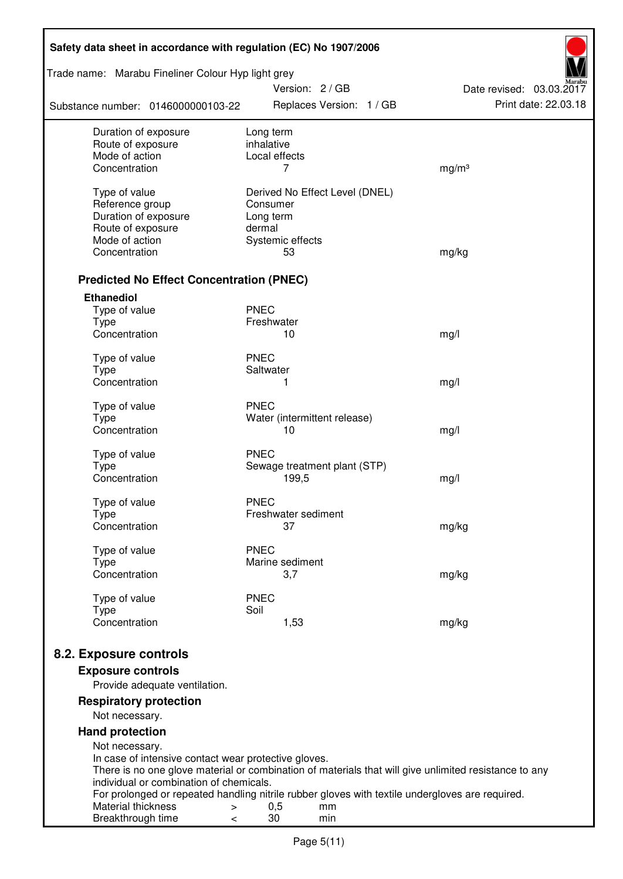| Safety data sheet in accordance with regulation (EC) No 1907/2006                                                                  |                         |                        |                                |                          |
|------------------------------------------------------------------------------------------------------------------------------------|-------------------------|------------------------|--------------------------------|--------------------------|
| Trade name: Marabu Fineliner Colour Hyp light grey                                                                                 |                         | Version: 2 / GB        |                                | Date revised: 03.03.2017 |
| Substance number: 0146000000103-22                                                                                                 |                         |                        | Replaces Version: 1 / GB       | Print date: 22.03.18     |
| Duration of exposure<br>Route of exposure                                                                                          | Long term<br>inhalative |                        |                                |                          |
| Mode of action                                                                                                                     |                         | Local effects          |                                |                          |
| Concentration                                                                                                                      |                         | 7                      |                                | mg/m <sup>3</sup>        |
| Type of value                                                                                                                      |                         |                        | Derived No Effect Level (DNEL) |                          |
| Reference group                                                                                                                    | Consumer                |                        |                                |                          |
| Duration of exposure                                                                                                               | Long term               |                        |                                |                          |
| Route of exposure                                                                                                                  | dermal                  |                        |                                |                          |
| Mode of action                                                                                                                     |                         | Systemic effects       |                                |                          |
| Concentration                                                                                                                      |                         | 53                     |                                | mg/kg                    |
| <b>Predicted No Effect Concentration (PNEC)</b>                                                                                    |                         |                        |                                |                          |
| <b>Ethanediol</b>                                                                                                                  |                         |                        |                                |                          |
| Type of value                                                                                                                      | <b>PNEC</b>             |                        |                                |                          |
| <b>Type</b><br>Concentration                                                                                                       | Freshwater              |                        |                                |                          |
|                                                                                                                                    |                         | 10                     |                                | mg/l                     |
| Type of value                                                                                                                      | <b>PNEC</b>             |                        |                                |                          |
| <b>Type</b>                                                                                                                        | Saltwater               |                        |                                |                          |
| Concentration                                                                                                                      |                         | 1                      |                                | mg/l                     |
| Type of value                                                                                                                      | <b>PNEC</b>             |                        |                                |                          |
| <b>Type</b>                                                                                                                        |                         |                        | Water (intermittent release)   |                          |
| Concentration                                                                                                                      |                         | 10                     |                                | mg/l                     |
| Type of value                                                                                                                      | <b>PNEC</b>             |                        |                                |                          |
| <b>Type</b>                                                                                                                        |                         |                        | Sewage treatment plant (STP)   |                          |
| Concentration                                                                                                                      |                         | 199,5                  |                                | mg/l                     |
|                                                                                                                                    |                         |                        |                                |                          |
| Type of value                                                                                                                      | <b>PNEC</b>             | Freshwater sediment    |                                |                          |
| Type<br>Concentration                                                                                                              |                         | 37                     |                                | mg/kg                    |
|                                                                                                                                    |                         |                        |                                |                          |
| Type of value                                                                                                                      | <b>PNEC</b>             |                        |                                |                          |
| Type<br>Concentration                                                                                                              |                         | Marine sediment<br>3,7 |                                |                          |
|                                                                                                                                    |                         |                        |                                | mg/kg                    |
| Type of value                                                                                                                      | <b>PNEC</b>             |                        |                                |                          |
| <b>Type</b>                                                                                                                        | Soil                    |                        |                                |                          |
| Concentration                                                                                                                      |                         | 1,53                   |                                | mg/kg                    |
| 8.2. Exposure controls                                                                                                             |                         |                        |                                |                          |
|                                                                                                                                    |                         |                        |                                |                          |
| <b>Exposure controls</b><br>Provide adequate ventilation.                                                                          |                         |                        |                                |                          |
| <b>Respiratory protection</b>                                                                                                      |                         |                        |                                |                          |
| Not necessary.                                                                                                                     |                         |                        |                                |                          |
| <b>Hand protection</b>                                                                                                             |                         |                        |                                |                          |
| Not necessary.                                                                                                                     |                         |                        |                                |                          |
| In case of intensive contact wear protective gloves.                                                                               |                         |                        |                                |                          |
| There is no one glove material or combination of materials that will give unlimited resistance to any                              |                         |                        |                                |                          |
| individual or combination of chemicals.                                                                                            |                         |                        |                                |                          |
| For prolonged or repeated handling nitrile rubber gloves with textile undergloves are required.<br>Material thickness<br>$\, > \,$ |                         | 0,5                    | mm                             |                          |
| Breakthrough time<br>$\,<\,$                                                                                                       |                         | 30                     | min                            |                          |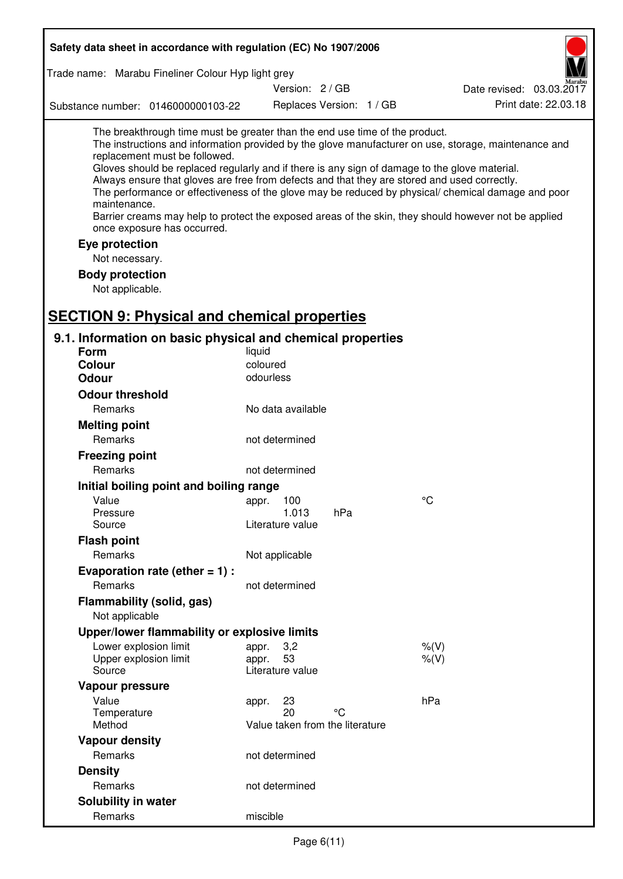| Safety data sheet in accordance with regulation (EC) No 1907/2006                                                                                                                                                                                                                                                                                                                                                                                                                                                                                                                                                                                                                  |                                                      |     |  |                          |  |
|------------------------------------------------------------------------------------------------------------------------------------------------------------------------------------------------------------------------------------------------------------------------------------------------------------------------------------------------------------------------------------------------------------------------------------------------------------------------------------------------------------------------------------------------------------------------------------------------------------------------------------------------------------------------------------|------------------------------------------------------|-----|--|--------------------------|--|
| Trade name: Marabu Fineliner Colour Hyp light grey                                                                                                                                                                                                                                                                                                                                                                                                                                                                                                                                                                                                                                 |                                                      |     |  |                          |  |
|                                                                                                                                                                                                                                                                                                                                                                                                                                                                                                                                                                                                                                                                                    | Version: 2 / GB                                      |     |  | Date revised: 03.03.2017 |  |
| Substance number: 0146000000103-22                                                                                                                                                                                                                                                                                                                                                                                                                                                                                                                                                                                                                                                 | Replaces Version: 1 / GB                             |     |  | Print date: 22.03.18     |  |
| The breakthrough time must be greater than the end use time of the product.<br>The instructions and information provided by the glove manufacturer on use, storage, maintenance and<br>replacement must be followed.<br>Gloves should be replaced regularly and if there is any sign of damage to the glove material.<br>Always ensure that gloves are free from defects and that they are stored and used correctly.<br>The performance or effectiveness of the glove may be reduced by physical/ chemical damage and poor<br>maintenance.<br>Barrier creams may help to protect the exposed areas of the skin, they should however not be applied<br>once exposure has occurred. |                                                      |     |  |                          |  |
| Eye protection<br>Not necessary.                                                                                                                                                                                                                                                                                                                                                                                                                                                                                                                                                                                                                                                   |                                                      |     |  |                          |  |
| <b>Body protection</b><br>Not applicable.<br><b>SECTION 9: Physical and chemical properties</b>                                                                                                                                                                                                                                                                                                                                                                                                                                                                                                                                                                                    |                                                      |     |  |                          |  |
| 9.1. Information on basic physical and chemical properties                                                                                                                                                                                                                                                                                                                                                                                                                                                                                                                                                                                                                         |                                                      |     |  |                          |  |
| <b>Form</b>                                                                                                                                                                                                                                                                                                                                                                                                                                                                                                                                                                                                                                                                        | liquid                                               |     |  |                          |  |
| <b>Colour</b>                                                                                                                                                                                                                                                                                                                                                                                                                                                                                                                                                                                                                                                                      | coloured                                             |     |  |                          |  |
| <b>Odour</b>                                                                                                                                                                                                                                                                                                                                                                                                                                                                                                                                                                                                                                                                       | odourless                                            |     |  |                          |  |
| <b>Odour threshold</b>                                                                                                                                                                                                                                                                                                                                                                                                                                                                                                                                                                                                                                                             |                                                      |     |  |                          |  |
| Remarks                                                                                                                                                                                                                                                                                                                                                                                                                                                                                                                                                                                                                                                                            | No data available                                    |     |  |                          |  |
| <b>Melting point</b>                                                                                                                                                                                                                                                                                                                                                                                                                                                                                                                                                                                                                                                               |                                                      |     |  |                          |  |
| Remarks                                                                                                                                                                                                                                                                                                                                                                                                                                                                                                                                                                                                                                                                            | not determined                                       |     |  |                          |  |
| <b>Freezing point</b>                                                                                                                                                                                                                                                                                                                                                                                                                                                                                                                                                                                                                                                              |                                                      |     |  |                          |  |
| Remarks                                                                                                                                                                                                                                                                                                                                                                                                                                                                                                                                                                                                                                                                            | not determined                                       |     |  |                          |  |
| Initial boiling point and boiling range                                                                                                                                                                                                                                                                                                                                                                                                                                                                                                                                                                                                                                            |                                                      |     |  |                          |  |
| Value                                                                                                                                                                                                                                                                                                                                                                                                                                                                                                                                                                                                                                                                              | appr.<br>100                                         |     |  | °C                       |  |
| Pressure<br>Source                                                                                                                                                                                                                                                                                                                                                                                                                                                                                                                                                                                                                                                                 | 1.013<br>Literature value                            | hPa |  |                          |  |
| <b>Flash point</b>                                                                                                                                                                                                                                                                                                                                                                                                                                                                                                                                                                                                                                                                 |                                                      |     |  |                          |  |
| Remarks                                                                                                                                                                                                                                                                                                                                                                                                                                                                                                                                                                                                                                                                            | Not applicable                                       |     |  |                          |  |
| Evaporation rate (ether $= 1$ ) :                                                                                                                                                                                                                                                                                                                                                                                                                                                                                                                                                                                                                                                  |                                                      |     |  |                          |  |
| Remarks                                                                                                                                                                                                                                                                                                                                                                                                                                                                                                                                                                                                                                                                            | not determined                                       |     |  |                          |  |
| Flammability (solid, gas)<br>Not applicable                                                                                                                                                                                                                                                                                                                                                                                                                                                                                                                                                                                                                                        |                                                      |     |  |                          |  |
| Upper/lower flammability or explosive limits                                                                                                                                                                                                                                                                                                                                                                                                                                                                                                                                                                                                                                       |                                                      |     |  |                          |  |
| Lower explosion limit                                                                                                                                                                                                                                                                                                                                                                                                                                                                                                                                                                                                                                                              | 3,2<br>appr.                                         |     |  | $%$ $(V)$                |  |
| Upper explosion limit<br>Source                                                                                                                                                                                                                                                                                                                                                                                                                                                                                                                                                                                                                                                    | 53<br>appr.<br>Literature value                      |     |  | $%$ (V)                  |  |
| Vapour pressure                                                                                                                                                                                                                                                                                                                                                                                                                                                                                                                                                                                                                                                                    |                                                      |     |  |                          |  |
| Value<br>Temperature<br>Method                                                                                                                                                                                                                                                                                                                                                                                                                                                                                                                                                                                                                                                     | 23<br>appr.<br>20<br>Value taken from the literature | °C  |  | hPa                      |  |
| <b>Vapour density</b>                                                                                                                                                                                                                                                                                                                                                                                                                                                                                                                                                                                                                                                              |                                                      |     |  |                          |  |
| Remarks                                                                                                                                                                                                                                                                                                                                                                                                                                                                                                                                                                                                                                                                            | not determined                                       |     |  |                          |  |
| <b>Density</b>                                                                                                                                                                                                                                                                                                                                                                                                                                                                                                                                                                                                                                                                     |                                                      |     |  |                          |  |
| Remarks                                                                                                                                                                                                                                                                                                                                                                                                                                                                                                                                                                                                                                                                            | not determined                                       |     |  |                          |  |
| Solubility in water                                                                                                                                                                                                                                                                                                                                                                                                                                                                                                                                                                                                                                                                |                                                      |     |  |                          |  |
| Remarks                                                                                                                                                                                                                                                                                                                                                                                                                                                                                                                                                                                                                                                                            | miscible                                             |     |  |                          |  |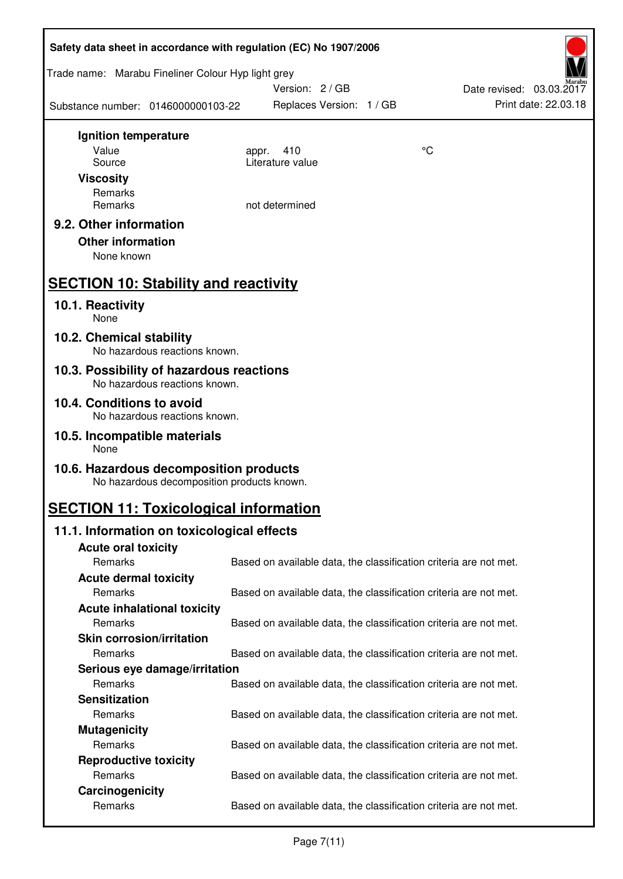|                                                                                      | Safety data sheet in accordance with regulation (EC) No 1907/2006 |    |                          |  |  |
|--------------------------------------------------------------------------------------|-------------------------------------------------------------------|----|--------------------------|--|--|
| Trade name: Marabu Fineliner Colour Hyp light grey                                   | Version: 2/GB                                                     |    | Date revised: 03.03.2017 |  |  |
| Substance number: 0146000000103-22                                                   | Replaces Version: 1 / GB                                          |    | Print date: 22.03.18     |  |  |
| Ignition temperature                                                                 |                                                                   |    |                          |  |  |
| Value                                                                                | 410<br>appr.                                                      | °C |                          |  |  |
| Source                                                                               | Literature value                                                  |    |                          |  |  |
| <b>Viscosity</b>                                                                     |                                                                   |    |                          |  |  |
| Remarks                                                                              |                                                                   |    |                          |  |  |
| Remarks                                                                              | not determined                                                    |    |                          |  |  |
| 9.2. Other information<br><b>Other information</b><br>None known                     |                                                                   |    |                          |  |  |
| <b>SECTION 10: Stability and reactivity</b>                                          |                                                                   |    |                          |  |  |
| 10.1. Reactivity<br>None                                                             |                                                                   |    |                          |  |  |
| 10.2. Chemical stability<br>No hazardous reactions known.                            |                                                                   |    |                          |  |  |
| 10.3. Possibility of hazardous reactions<br>No hazardous reactions known.            |                                                                   |    |                          |  |  |
| 10.4. Conditions to avoid<br>No hazardous reactions known.                           |                                                                   |    |                          |  |  |
| 10.5. Incompatible materials<br>None                                                 |                                                                   |    |                          |  |  |
| 10.6. Hazardous decomposition products<br>No hazardous decomposition products known. |                                                                   |    |                          |  |  |
| <b>SECTION 11: Toxicological information</b>                                         |                                                                   |    |                          |  |  |
| 11.1. Information on toxicological effects                                           |                                                                   |    |                          |  |  |
| <b>Acute oral toxicity</b>                                                           |                                                                   |    |                          |  |  |
| Remarks                                                                              | Based on available data, the classification criteria are not met. |    |                          |  |  |
| <b>Acute dermal toxicity</b>                                                         |                                                                   |    |                          |  |  |
| Remarks                                                                              | Based on available data, the classification criteria are not met. |    |                          |  |  |
| <b>Acute inhalational toxicity</b>                                                   |                                                                   |    |                          |  |  |
| Remarks                                                                              | Based on available data, the classification criteria are not met. |    |                          |  |  |
| <b>Skin corrosion/irritation</b>                                                     |                                                                   |    |                          |  |  |
| Remarks                                                                              | Based on available data, the classification criteria are not met. |    |                          |  |  |
| Serious eye damage/irritation                                                        |                                                                   |    |                          |  |  |
| Remarks                                                                              | Based on available data, the classification criteria are not met. |    |                          |  |  |
| <b>Sensitization</b>                                                                 |                                                                   |    |                          |  |  |
| Remarks                                                                              | Based on available data, the classification criteria are not met. |    |                          |  |  |
| <b>Mutagenicity</b>                                                                  |                                                                   |    |                          |  |  |
| Remarks                                                                              | Based on available data, the classification criteria are not met. |    |                          |  |  |
| <b>Reproductive toxicity</b>                                                         |                                                                   |    |                          |  |  |
| Remarks                                                                              | Based on available data, the classification criteria are not met. |    |                          |  |  |
| Carcinogenicity<br>Remarks                                                           | Based on available data, the classification criteria are not met. |    |                          |  |  |
|                                                                                      |                                                                   |    |                          |  |  |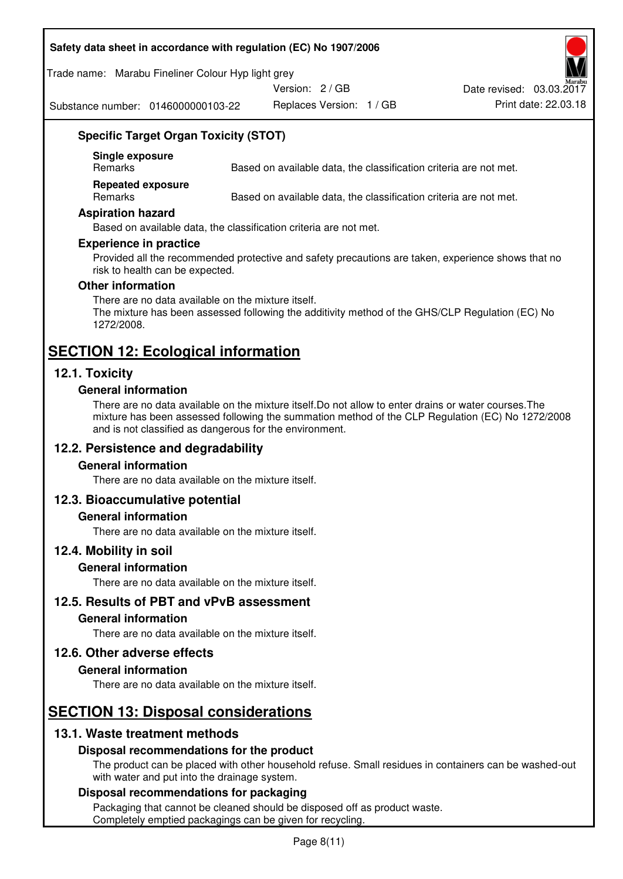#### **Safety data sheet in accordance with regulation (EC) No 1907/2006**

Trade name: Marabu Fineliner Colour Hyp light grey

Version: 2 / GB

Substance number: 0146000000103-22

Replaces Version: 1 / GB Print date: 22.03.18 Date revised: 03.03.2017

## **Specific Target Organ Toxicity (STOT)**

**Single exposure** 

Based on available data, the classification criteria are not met.

**Repeated exposure** 

Remarks Based on available data, the classification criteria are not met.

#### **Aspiration hazard**

Based on available data, the classification criteria are not met.

#### **Experience in practice**

Provided all the recommended protective and safety precautions are taken, experience shows that no risk to health can be expected.

#### **Other information**

There are no data available on the mixture itself. The mixture has been assessed following the additivity method of the GHS/CLP Regulation (EC) No 1272/2008.

# **SECTION 12: Ecological information**

## **12.1. Toxicity**

#### **General information**

There are no data available on the mixture itself.Do not allow to enter drains or water courses.The mixture has been assessed following the summation method of the CLP Regulation (EC) No 1272/2008 and is not classified as dangerous for the environment.

## **12.2. Persistence and degradability**

#### **General information**

There are no data available on the mixture itself.

## **12.3. Bioaccumulative potential**

#### **General information**

There are no data available on the mixture itself.

#### **12.4. Mobility in soil**

#### **General information**

There are no data available on the mixture itself.

**12.5. Results of PBT and vPvB assessment** 

#### **General information**

There are no data available on the mixture itself.

## **12.6. Other adverse effects**

#### **General information**

There are no data available on the mixture itself.

# **SECTION 13: Disposal considerations**

## **13.1. Waste treatment methods**

## **Disposal recommendations for the product**

The product can be placed with other household refuse. Small residues in containers can be washed-out with water and put into the drainage system.

#### **Disposal recommendations for packaging**

Packaging that cannot be cleaned should be disposed off as product waste. Completely emptied packagings can be given for recycling.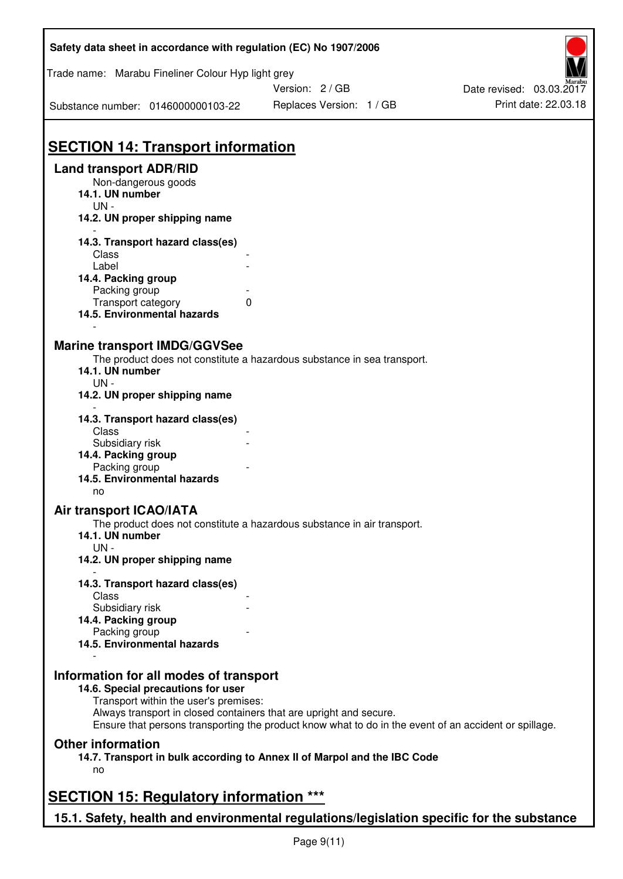| Safety data sheet in accordance with regulation (EC) No 1907/2006                                                                         |                                                                                                                                                                             |                          |
|-------------------------------------------------------------------------------------------------------------------------------------------|-----------------------------------------------------------------------------------------------------------------------------------------------------------------------------|--------------------------|
| Trade name: Marabu Fineliner Colour Hyp light grey                                                                                        | Version: 2/GB                                                                                                                                                               | Date revised: 03.03.2017 |
| Substance number: 0146000000103-22                                                                                                        | Replaces Version: 1 / GB                                                                                                                                                    | Print date: 22.03.18     |
| <b>SECTION 14: Transport information</b>                                                                                                  |                                                                                                                                                                             |                          |
| <b>Land transport ADR/RID</b><br>Non-dangerous goods<br>14.1. UN number<br>$UN -$                                                         |                                                                                                                                                                             |                          |
| 14.2. UN proper shipping name                                                                                                             |                                                                                                                                                                             |                          |
| 14.3. Transport hazard class(es)<br>Class<br>Label<br>14.4. Packing group<br>Packing group                                                |                                                                                                                                                                             |                          |
| Transport category<br>14.5. Environmental hazards                                                                                         | 0                                                                                                                                                                           |                          |
| <b>Marine transport IMDG/GGVSee</b><br>14.1. UN number<br>$UN -$<br>14.2. UN proper shipping name                                         | The product does not constitute a hazardous substance in sea transport.                                                                                                     |                          |
| 14.3. Transport hazard class(es)<br>Class<br>Subsidiary risk<br>14.4. Packing group<br>Packing group<br>14.5. Environmental hazards<br>no |                                                                                                                                                                             |                          |
| <b>Air transport ICAO/IATA</b><br>14.1. UN number<br>$UN -$<br>14.2. UN proper shipping name                                              | The product does not constitute a hazardous substance in air transport.                                                                                                     |                          |
| 14.3. Transport hazard class(es)<br>Class<br>Subsidiary risk                                                                              |                                                                                                                                                                             |                          |
| 14.4. Packing group<br>Packing group<br>14.5. Environmental hazards                                                                       |                                                                                                                                                                             |                          |
| Information for all modes of transport<br>14.6. Special precautions for user<br>Transport within the user's premises:                     | Always transport in closed containers that are upright and secure.<br>Ensure that persons transporting the product know what to do in the event of an accident or spillage. |                          |
| <b>Other information</b><br>no                                                                                                            | 14.7. Transport in bulk according to Annex II of Marpol and the IBC Code                                                                                                    |                          |
| <b>SECTION 15: Regulatory information ***</b>                                                                                             |                                                                                                                                                                             |                          |
| 15.1. Safety, health and environmental regulations/legislation specific for the substance                                                 |                                                                                                                                                                             |                          |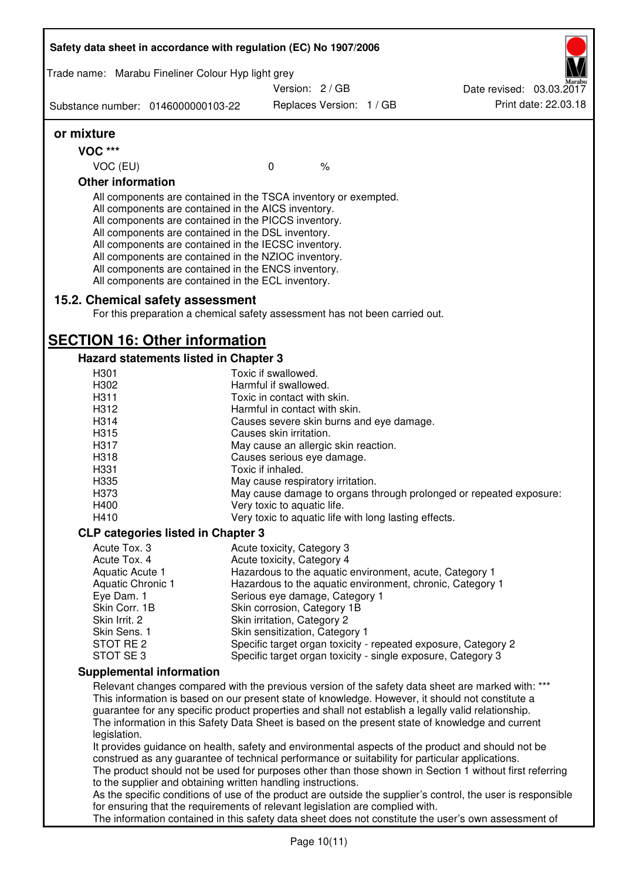|                                                                                                                                                                         | Safety data sheet in accordance with regulation (EC) No 1907/2006                                                                                                                                                                                                                                                                                                                                                                                                 |                                                              |                          |                                                                                                              |
|-------------------------------------------------------------------------------------------------------------------------------------------------------------------------|-------------------------------------------------------------------------------------------------------------------------------------------------------------------------------------------------------------------------------------------------------------------------------------------------------------------------------------------------------------------------------------------------------------------------------------------------------------------|--------------------------------------------------------------|--------------------------|--------------------------------------------------------------------------------------------------------------|
|                                                                                                                                                                         | Trade name: Marabu Fineliner Colour Hyp light grey                                                                                                                                                                                                                                                                                                                                                                                                                |                                                              |                          |                                                                                                              |
|                                                                                                                                                                         |                                                                                                                                                                                                                                                                                                                                                                                                                                                                   | Version: 2/GB                                                |                          | Date revised: 03.03.2017                                                                                     |
|                                                                                                                                                                         | Substance number: 0146000000103-22                                                                                                                                                                                                                                                                                                                                                                                                                                |                                                              | Replaces Version: 1 / GB | Print date: 22.03.18                                                                                         |
| or mixture                                                                                                                                                              |                                                                                                                                                                                                                                                                                                                                                                                                                                                                   |                                                              |                          |                                                                                                              |
| <b>VOC ***</b>                                                                                                                                                          |                                                                                                                                                                                                                                                                                                                                                                                                                                                                   |                                                              |                          |                                                                                                              |
| VOC (EU)                                                                                                                                                                |                                                                                                                                                                                                                                                                                                                                                                                                                                                                   | $\mathbf 0$                                                  | $\%$                     |                                                                                                              |
| <b>Other information</b>                                                                                                                                                |                                                                                                                                                                                                                                                                                                                                                                                                                                                                   |                                                              |                          |                                                                                                              |
|                                                                                                                                                                         | All components are contained in the TSCA inventory or exempted.<br>All components are contained in the AICS inventory.<br>All components are contained in the PICCS inventory.<br>All components are contained in the DSL inventory.<br>All components are contained in the IECSC inventory.<br>All components are contained in the NZIOC inventory.<br>All components are contained in the ENCS inventory.<br>All components are contained in the ECL inventory. |                                                              |                          |                                                                                                              |
|                                                                                                                                                                         | 15.2. Chemical safety assessment<br>For this preparation a chemical safety assessment has not been carried out.                                                                                                                                                                                                                                                                                                                                                   |                                                              |                          |                                                                                                              |
|                                                                                                                                                                         | <b>SECTION 16: Other information</b>                                                                                                                                                                                                                                                                                                                                                                                                                              |                                                              |                          |                                                                                                              |
|                                                                                                                                                                         | <b>Hazard statements listed in Chapter 3</b>                                                                                                                                                                                                                                                                                                                                                                                                                      |                                                              |                          |                                                                                                              |
| H301                                                                                                                                                                    |                                                                                                                                                                                                                                                                                                                                                                                                                                                                   | Toxic if swallowed.                                          |                          |                                                                                                              |
| H302                                                                                                                                                                    |                                                                                                                                                                                                                                                                                                                                                                                                                                                                   | Harmful if swallowed.                                        |                          |                                                                                                              |
| H311<br>H312                                                                                                                                                            |                                                                                                                                                                                                                                                                                                                                                                                                                                                                   | Toxic in contact with skin.<br>Harmful in contact with skin. |                          |                                                                                                              |
| H314                                                                                                                                                                    |                                                                                                                                                                                                                                                                                                                                                                                                                                                                   | Causes severe skin burns and eye damage.                     |                          |                                                                                                              |
| H315                                                                                                                                                                    |                                                                                                                                                                                                                                                                                                                                                                                                                                                                   | Causes skin irritation.                                      |                          |                                                                                                              |
| H317                                                                                                                                                                    |                                                                                                                                                                                                                                                                                                                                                                                                                                                                   | May cause an allergic skin reaction.                         |                          |                                                                                                              |
| H318                                                                                                                                                                    |                                                                                                                                                                                                                                                                                                                                                                                                                                                                   | Causes serious eye damage.                                   |                          |                                                                                                              |
| H331                                                                                                                                                                    |                                                                                                                                                                                                                                                                                                                                                                                                                                                                   | Toxic if inhaled.                                            |                          |                                                                                                              |
| H335                                                                                                                                                                    |                                                                                                                                                                                                                                                                                                                                                                                                                                                                   | May cause respiratory irritation.                            |                          |                                                                                                              |
| H373                                                                                                                                                                    |                                                                                                                                                                                                                                                                                                                                                                                                                                                                   |                                                              |                          | May cause damage to organs through prolonged or repeated exposure:                                           |
| H400                                                                                                                                                                    |                                                                                                                                                                                                                                                                                                                                                                                                                                                                   | Very toxic to aquatic life.                                  |                          |                                                                                                              |
| H410                                                                                                                                                                    |                                                                                                                                                                                                                                                                                                                                                                                                                                                                   | Very toxic to aquatic life with long lasting effects.        |                          |                                                                                                              |
|                                                                                                                                                                         | <b>CLP categories listed in Chapter 3</b>                                                                                                                                                                                                                                                                                                                                                                                                                         |                                                              |                          |                                                                                                              |
| Acute Tox. 3                                                                                                                                                            |                                                                                                                                                                                                                                                                                                                                                                                                                                                                   | Acute toxicity, Category 3                                   |                          |                                                                                                              |
| Acute Tox. 4<br>Aquatic Acute 1                                                                                                                                         |                                                                                                                                                                                                                                                                                                                                                                                                                                                                   | Acute toxicity, Category 4                                   |                          | Hazardous to the aquatic environment, acute, Category 1                                                      |
| Aquatic Chronic 1                                                                                                                                                       |                                                                                                                                                                                                                                                                                                                                                                                                                                                                   |                                                              |                          | Hazardous to the aquatic environment, chronic, Category 1                                                    |
| Eye Dam. 1                                                                                                                                                              |                                                                                                                                                                                                                                                                                                                                                                                                                                                                   | Serious eye damage, Category 1                               |                          |                                                                                                              |
| Skin Corr. 1B                                                                                                                                                           |                                                                                                                                                                                                                                                                                                                                                                                                                                                                   | Skin corrosion, Category 1B                                  |                          |                                                                                                              |
| Skin Irrit. 2                                                                                                                                                           |                                                                                                                                                                                                                                                                                                                                                                                                                                                                   | Skin irritation, Category 2                                  |                          |                                                                                                              |
| Skin Sens. 1                                                                                                                                                            |                                                                                                                                                                                                                                                                                                                                                                                                                                                                   | Skin sensitization, Category 1                               |                          |                                                                                                              |
| STOT RE 2<br>STOT SE 3                                                                                                                                                  |                                                                                                                                                                                                                                                                                                                                                                                                                                                                   |                                                              |                          | Specific target organ toxicity - repeated exposure, Category 2                                               |
|                                                                                                                                                                         |                                                                                                                                                                                                                                                                                                                                                                                                                                                                   |                                                              |                          | Specific target organ toxicity - single exposure, Category 3                                                 |
|                                                                                                                                                                         | <b>Supplemental information</b>                                                                                                                                                                                                                                                                                                                                                                                                                                   |                                                              |                          | Relevant changes compared with the previous version of the safety data sheet are marked with: ***            |
|                                                                                                                                                                         |                                                                                                                                                                                                                                                                                                                                                                                                                                                                   |                                                              |                          | This information is based on our present state of knowledge. However, it should not constitute a             |
|                                                                                                                                                                         |                                                                                                                                                                                                                                                                                                                                                                                                                                                                   |                                                              |                          | guarantee for any specific product properties and shall not establish a legally valid relationship.          |
|                                                                                                                                                                         |                                                                                                                                                                                                                                                                                                                                                                                                                                                                   |                                                              |                          | The information in this Safety Data Sheet is based on the present state of knowledge and current             |
| legislation.                                                                                                                                                            |                                                                                                                                                                                                                                                                                                                                                                                                                                                                   |                                                              |                          |                                                                                                              |
|                                                                                                                                                                         |                                                                                                                                                                                                                                                                                                                                                                                                                                                                   |                                                              |                          | It provides guidance on health, safety and environmental aspects of the product and should not be            |
| construed as any guarantee of technical performance or suitability for particular applications.                                                                         |                                                                                                                                                                                                                                                                                                                                                                                                                                                                   |                                                              |                          |                                                                                                              |
| The product should not be used for purposes other than those shown in Section 1 without first referring<br>to the supplier and obtaining written handling instructions. |                                                                                                                                                                                                                                                                                                                                                                                                                                                                   |                                                              |                          |                                                                                                              |
|                                                                                                                                                                         |                                                                                                                                                                                                                                                                                                                                                                                                                                                                   |                                                              |                          | As the specific conditions of use of the product are outside the supplier's control, the user is responsible |
|                                                                                                                                                                         | for ensuring that the requirements of relevant legislation are complied with.                                                                                                                                                                                                                                                                                                                                                                                     |                                                              |                          |                                                                                                              |
|                                                                                                                                                                         |                                                                                                                                                                                                                                                                                                                                                                                                                                                                   |                                                              |                          | The information contained in this safety data sheet does not constitute the user's own assessment of         |